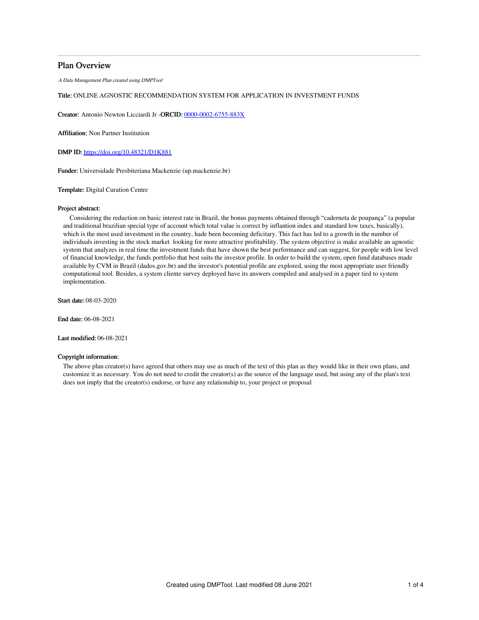## Plan Overview

A Data Management Plan created using DMPTool

## Title: ONLINE AGNOSTIC RECOMMENDATION SYSTEM FOR APPLICATION IN INVESTMENT FUNDS

Creator: Antonio Newton Licciardi Jr -ORCID: [0000-0002-6755-883X](https://orcid.org/0000-0002-6755-883X)

Affiliation: Non Partner Institution

DMP ID: <https://doi.org/10.48321/D1K881>

Funder: Universidade Presbiteriana Mackenzie (up.mackenzie.br)

#### Template: Digital Curation Centre

#### Project abstract:

Considering the reduction on basic interest rate in Brazil, the bonus payments obtained through "caderneta de poupança" (a popular and traditional brazilian special type of account which total value is correct by inflantion index and standard low taxes, basically), which is the most used investment in the country, hade been becoming deficitary. This fact has led to a growth in the number of individuals investing in the stock market looking for more attractive profitability. The system objective is make available an agnostic system that analyzes in real time the investment funds that have shown the best performance and can suggest, for people with low level of financial knowledge, the funds portfolio that best suits the investor profile. In order to build the system, open fund databases made available by CVM in Brazil (dados.gov.br) and the investor's potential profile are explored, using the most appropriate user friendly computational tool. Besides, a system cliente survey deployed have its answers compiled and analysed in a paper tied to system implementation.

Start date: 08-03-2020

End date: 06-08-2021

Last modified: 06-08-2021

### Copyright information:

The above plan creator(s) have agreed that others may use as much of the text of this plan as they would like in their own plans, and customize it as necessary. You do not need to credit the creator(s) as the source of the language used, but using any of the plan's text does not imply that the creator(s) endorse, or have any relationship to, your project or proposal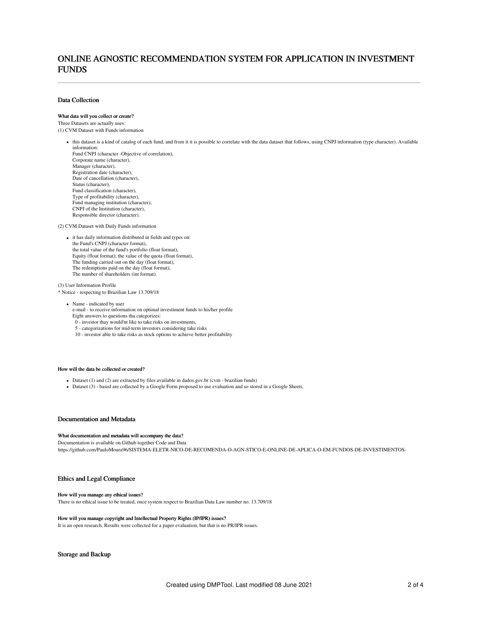## ONLINE AGNOSTIC RECOMMENDATION SYSTEM FOR APPLICATION IN INVESTMENT FUNDS

## Data Collection

#### What data will you collect or create?

Three Datasets are actually uses:

(1) CVM Dataset with Funds information

- this dataset is a kind of catalog of each fund, and from it it is possible to correlate with the data dataset that follows, using CNPJ information (type character). Available information:
	- Fund CNPJ (character -Objective of correlation), Corporate name (character), Manager (character) Registration date (character), Date of cancellation (character), Status (character), Fund classification (character), Type of profitability (character), Fund managing institution (character), CNPJ of the Institution (character), Responsible director (character).

(2) CVM Dataset with Daily Funds information

 $\bullet~$  it has daily information distributed in fields and types on: the Fund's CNPJ (character format), the total value of the fund's portfolio (float format), Equity (float format), the value of the quota (float format), The funding carried out on the day (float format), The redemptions paid on the day (float format), The number of shareholders (int format).

(3) User Information Profile

\* Notice - respecting to Brazilian Law 13.709/18

• Name - indicated by user

e-mail - to receive information on optimal investiment funds to his/her profile Eight answers to questions tha categorizes:

- 0 investor thay would'nt like to take risks on investments,
- 5 categorizations for mid-term investors considering take risks
- 10 investor able to take risks as stock options to achieve better profitability

#### How will the data be collected or created?

- Dataset (1) and (2) are extracted by files available in dados.gov.br (cvm brazilian funds)
- Dataset (3) based are collected by a Google Form proposed to use evaluation and so stored in a Google Sheets.

#### Documentation and Metadata

#### What documentation and metadata will accompany the data?

Documentation is available on Github together Code and Data https://github.com/PauloMoura96/SISTEMA-ELETR-NICO-DE-RECOMENDA-O-AGN-STICO-E-ONLINE-DE-APLICA-O-EM-FUNDOS-DE-INVESTIMENTOS-

#### Ethics and Legal Compliance

#### How will you manage any ethical issues?

There is no ethical issue to be treated, once system respect to Brazilian Data Law number no. 13.709/18

#### How will you manage copyright and Intellectual Property Rights (IP/IPR) issues?

It is an open research. Results were collected for a paper evaluation, but that is no PR/IPR issues.

## Storage and Backup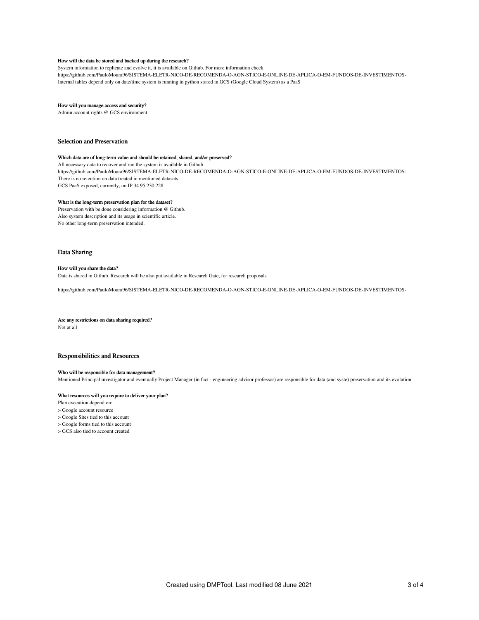#### How will the data be stored and backed up during the research?

System information to replicate and evolve it, it is available on Github. For more information check https://github.com/PauloMoura96/SISTEMA-ELETR-NICO-DE-RECOMENDA-O-AGN-STICO-E-ONLINE-DE-APLICA-O-EM-FUNDOS-DE-INVESTIMENTOS-Internal tables depend only on date/time system is running in python stored in GCS (Google Cloud System) as a PaaS

#### How will you manage access and security?

Admin account rights @ GCS environment

### Selection and Preservation

#### Which data are of long-term value and should be retained, shared, and/or preserved?

All necessary data to recover and run the system is available in Github. https://github.com/PauloMoura96/SISTEMA-ELETR-NICO-DE-RECOMENDA-O-AGN-STICO-E-ONLINE-DE-APLICA-O-EM-FUNDOS-DE-INVESTIMENTOS-There is no retention on data treated in mentioned datasets GCS PaaS exposed, currently, on IP 34.95.230.228

### What is the long-term preservation plan for the dataset?

Preservation with be done considering information @ Github. Also system description and its usage in scientific article. No other long-term preservation intended.

#### Data Sharing

#### How will you share the data?

Data is shared in Github. Research will be also put available in Research Gate, for research proposals

https://github.com/PauloMoura96/SISTEMA-ELETR-NICO-DE-RECOMENDA-O-AGN-STICO-E-ONLINE-DE-APLICA-O-EM-FUNDOS-DE-INVESTIMENTOS-

#### Are any restrictions on data sharing required?

Not at all

## Responsibilities and Resources

#### Who will be responsible for data management?

Mentioned Principal investigator and eventually Project Manager (in fact - engineering advisor professor) are responsible for data (and syste) preservation and its evolution

## What resources will you require to deliver your plan?

Plan execution depend on:

> Google account resource

- > Google Sites tied to this account
- > Google forms tied to this account
- > GCS also tied to account created